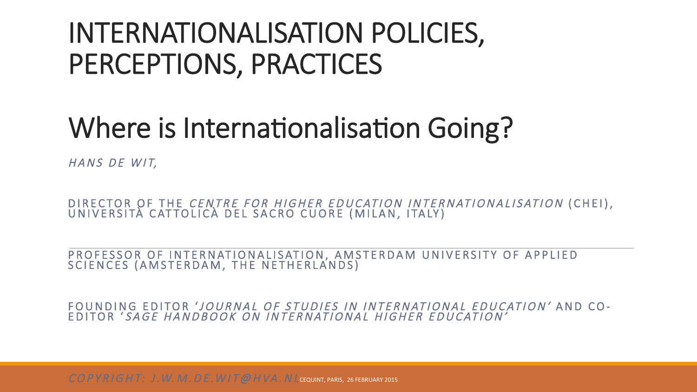#### INTERNATIONALISATION POLICIES, PERCEPTIONS, PRACTICES

#### Where is Internationalisation Going?

HANS DE WIT,

DIRECTOR OF THE *CENTRE FOR HIGHER EDUCATION INTERNATIONALISATION* (CHEI),<br>UNIVERSITÀ CATTOLICÀ DEL SACRO CUORE (MILAN, ITALY)

PROFESSOR OF INTERNATIONALISATION, AMSTERDAM UNIVERSITY OF APPLIED SCIENCES (AMSTERDAM, THE NETHERLANDS)

FOUNDING EDITOR 'JOURNAL OF STUDIES IN INTERNATIONAL EDUCATION' AND CO-EDITOR ' SAGE HANDBOOK ON INTERNATIONAL HIGHER EDUCATION'

 $\overline{COPYR}$  |  $GHT:J.$  W, M, DE, W | T @ H VA, N L CEQUINT, PARIS, 26 FEBRUARY 2015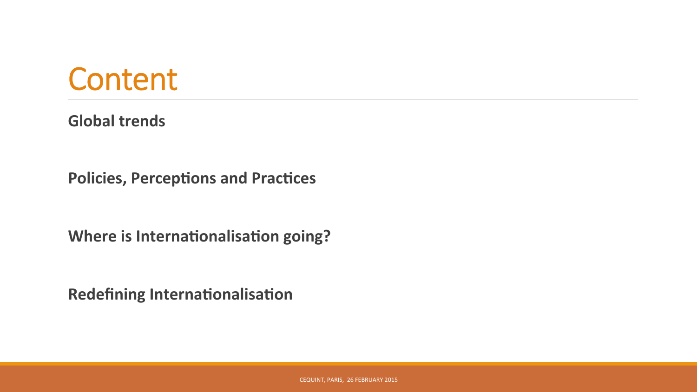

**Global trends** 

**Policies, Perceptions and Practices** 

**Where is Internationalisation going?** 

**Redefining Internationalisation**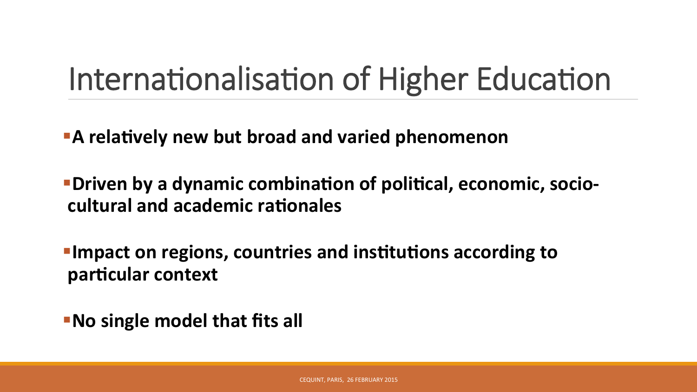# Internationalisation of Higher Education

**A** relatively new but broad and varied phenomenon

**• Driven by a dynamic combination of political, economic, socio**cultural and academic rationales

**Fimpact on regions, countries and institutions according to** particular context

**Bood Single model that fits all**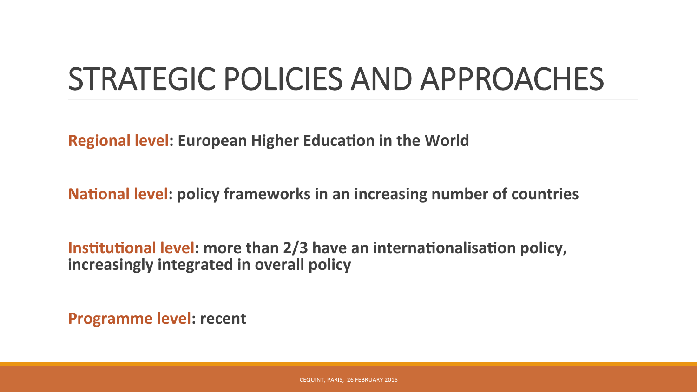# STRATEGIC POLICIES AND APPROACHES

**Regional level: European Higher Education in the World** 

**National level: policy frameworks in an increasing number of countries** 

**Institutional level: more than 2/3 have an internationalisation policy, increasingly integrated in overall policy** 

**Programme level: recent**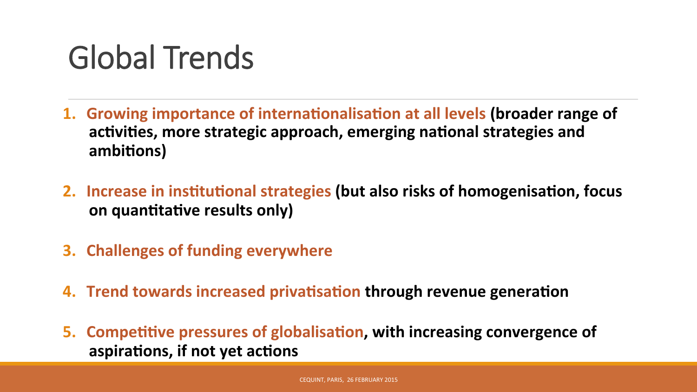# Global Trends

- **1. Growing importance of internationalisation at all levels (broader range of** activities, more strategic approach, emerging national strategies and ambitions)
- **2.** Increase in institutional strategies (but also risks of homogenisation, focus **on quantitative results only)**
- **3. Challenges of funding everywhere**
- **4. Trend towards increased privatisation through revenue generation**
- **5. Competitive pressures of globalisation, with increasing convergence of** aspirations, if not yet actions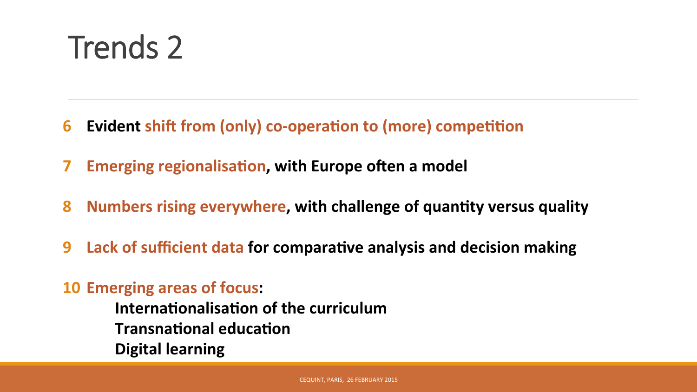# Trends 2

- **6 Evident shift from (only) co-operation to (more) competition**
- **7** Emerging regionalisation, with Europe often a model
- **8 Numbers rising everywhere, with challenge of quantity versus quality**
- **9** Lack of sufficient data for comparative analysis and decision making

#### **10 Emerging areas of focus:**

- **Internationalisation of the curriculum**
- **Transnational education**
- **Digital learning**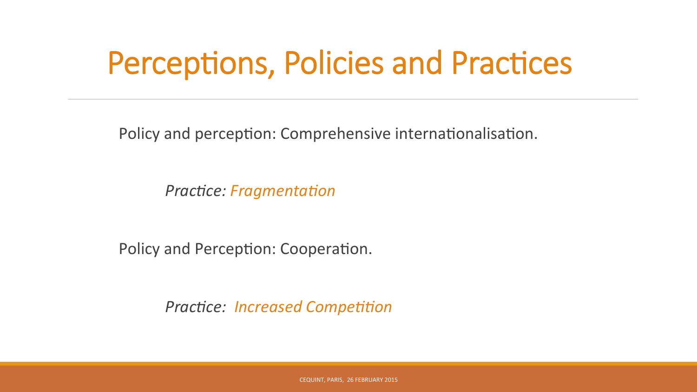Policy and perception: Comprehensive internationalisation.

*Practice: Fragmentation* 

Policy and Perception: Cooperation.

*Practice: Increased Competition*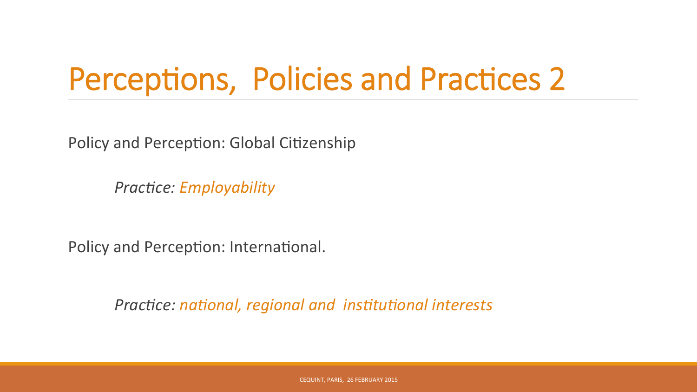Policy and Perception: Global Citizenship

*Practice: Employability* 

Policy and Perception: International.

*Practice: national, regional and institutional interests*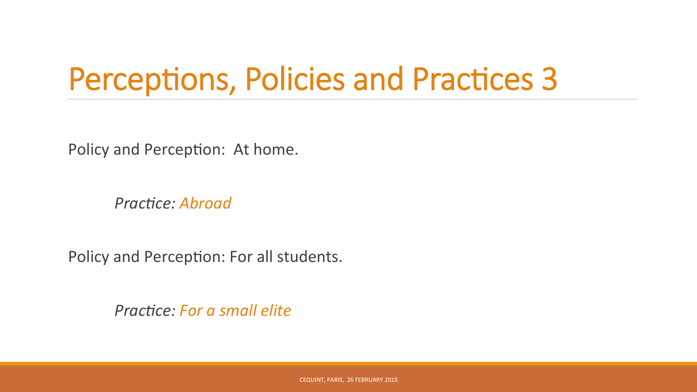Policy and Perception: At home.

**Practice: Abroad** 

Policy and Perception: For all students.

*Practice: For a small elite*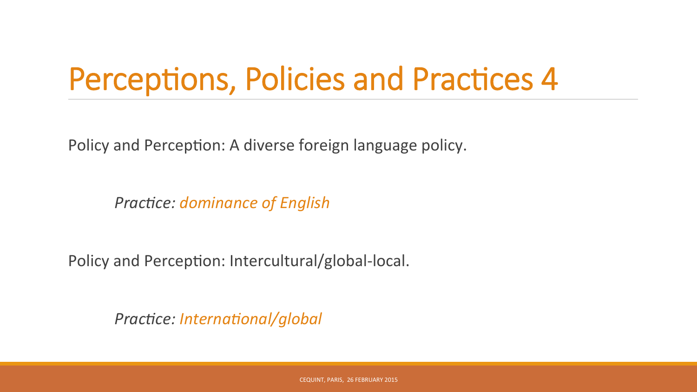Policy and Perception: A diverse foreign language policy.

**Practice: dominance of English** 

Policy and Perception: Intercultural/global-local.

*Practice: International/global*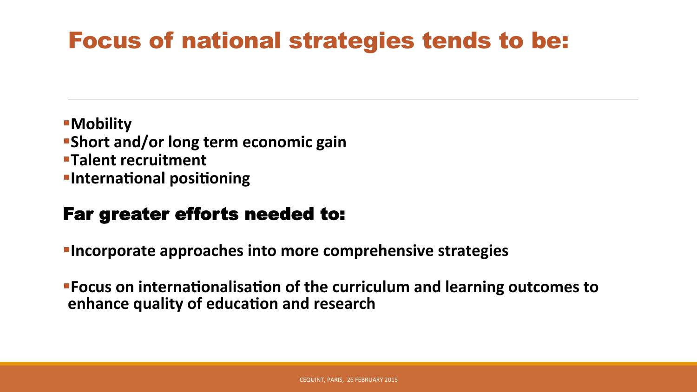#### Focus of national strategies tends to be:

**B**Mobility **Short and/or long term economic gain <u>■Talent recruitment</u> Elnternational positioning** 

#### Far greater efforts needed to:

**Fincorporate approaches into more comprehensive strategies** 

**Focus on internationalisation of the curriculum and learning outcomes to enhance quality of education and research**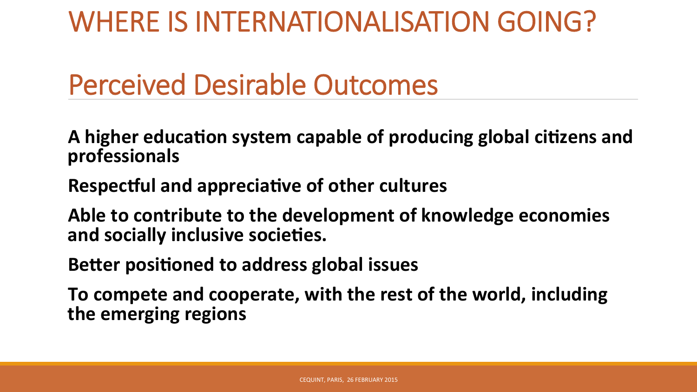#### WHERE IS INTERNATIONALISATION GOING?

#### Perceived Desirable Outcomes

A higher education system capable of producing global citizens and **professionals** 

**Respectful and appreciative of other cultures** 

Able to contribute to the development of knowledge economies and socially inclusive societies.

**Better positioned to address global issues** 

To compete and cooperate, with the rest of the world, including the emerging regions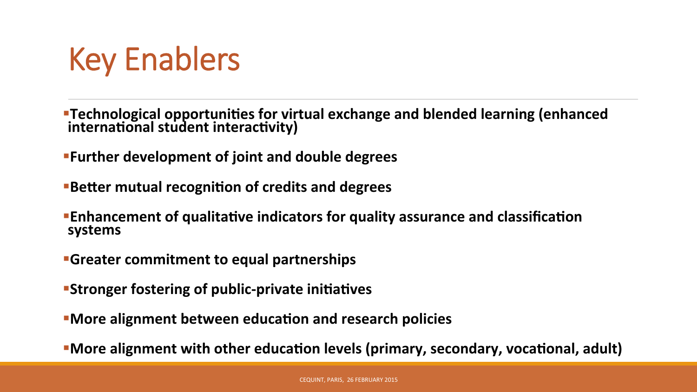

**•Technological opportunities for virtual exchange and blended learning (enhanced** international student interactivity)

**Further development of joint and double degrees** 

**Better mutual recognition of credits and degrees** 

**Enhancement of qualitative indicators for quality assurance and classification systems** 

- **Greater commitment to equal partnerships**
- **Stronger fostering of public-private initiatives**
- **More alignment between education and research policies**

**• More alignment with other education levels (primary, secondary, vocational, adult)**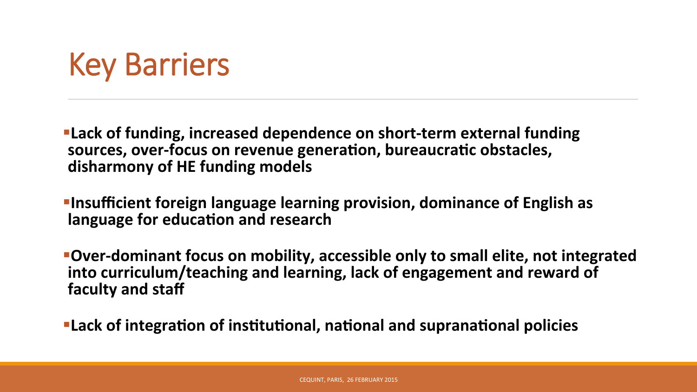## Key Barriers

**Exack of funding, increased dependence on short-term external funding** sources, over-focus on revenue generation, bureaucratic obstacles, disharmony of HE funding models

*Insufficient foreign language learning provision, dominance of English as* language for education and research

**• Over-dominant focus on mobility, accessible only to small elite, not integrated** into curriculum/teaching and learning, lack of engagement and reward of **faculty and staff** 

**Exack of integration of institutional, national and supranational policies**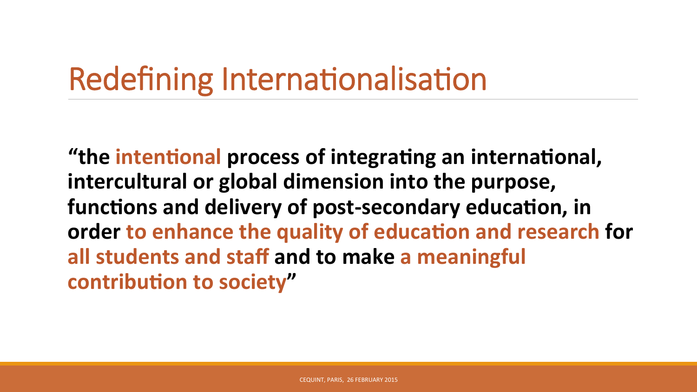# Redefining Internationalisation

"the intentional process of integrating an international, intercultural or global dimension into the purpose, functions and delivery of post-secondary education, in order to enhance the quality of education and research for all students and staff and to make a meaningful **contribution to society"**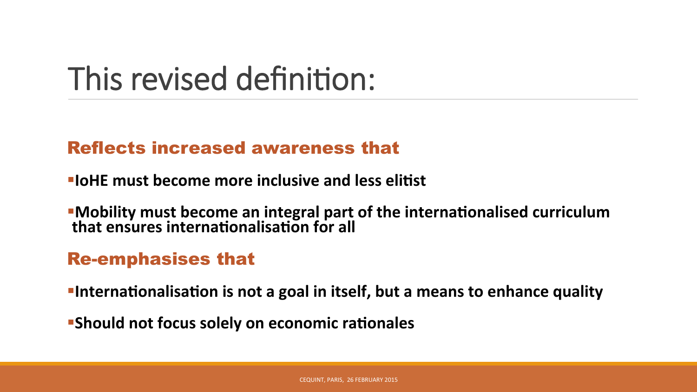# This revised definition:

#### Reflects increased awareness that

- **FIOHE** must become more inclusive and less elitist
- **•Mobility must become an integral part of the internationalised curriculum** that ensures internationalisation for all

#### Re-emphasises that

- **Finternationalisation is not a goal in itself, but a means to enhance quality**
- **Should not focus solely on economic rationales**